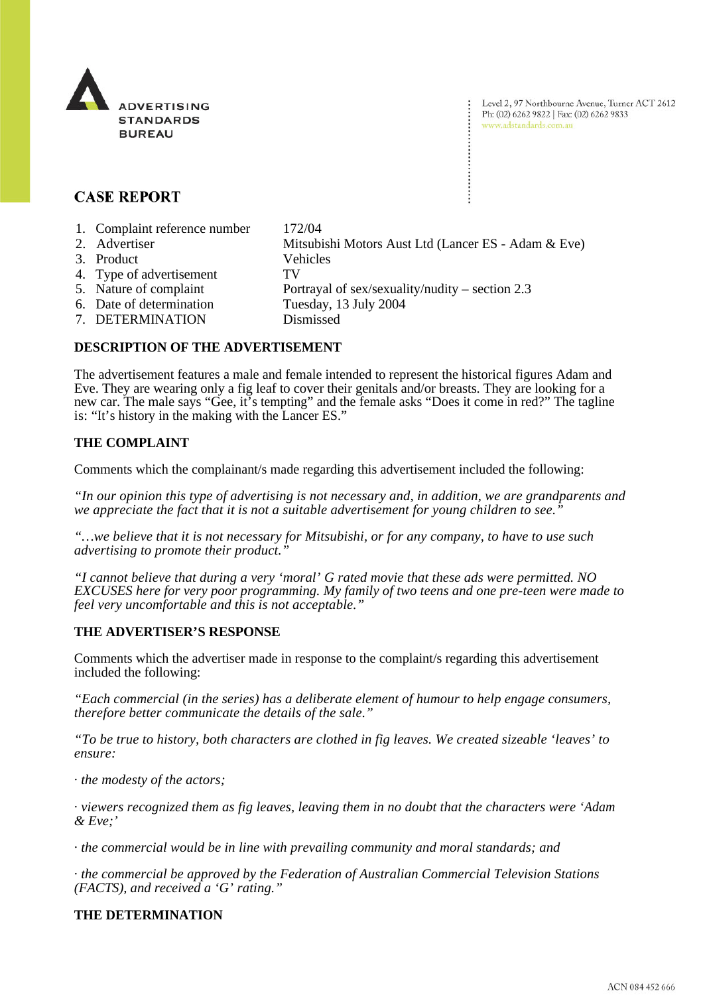

Level 2, 97 Northbourne Avenue, Turner ACT 2612 Ph: (02) 6262 9822 | Fax: (02) 6262 9833 www.adstandards.com.au

# **CASE REPORT**

- 1. Complaint reference number 172/04
- 2. Advertiser Mitsubishi Motors Aust Ltd (Lancer ES Adam & Eve) 3. Product Vehicles 4. Type of advertisement TV 5. Nature of complaint Portrayal of sex/sexuality/nudity – section 2.3 6. Date of determination Tuesday, 13 July 2004
- 
- 7. DETERMINATION Dismissed

# **DESCRIPTION OF THE ADVERTISEMENT**

The advertisement features a male and female intended to represent the historical figures Adam and Eve. They are wearing only a fig leaf to cover their genitals and/or breasts. They are looking for a new car. The male says "Gee, it's tempting" and the female asks "Does it come in red?" The tagline is: "It's history in the making with the Lancer ES."

## **THE COMPLAINT**

Comments which the complainant/s made regarding this advertisement included the following:

*"In our opinion this type of advertising is not necessary and, in addition, we are grandparents and we appreciate the fact that it is not a suitable advertisement for young children to see."*

*"…we believe that it is not necessary for Mitsubishi, or for any company, to have to use such advertising to promote their product."*

*"I cannot believe that during a very 'moral' G rated movie that these ads were permitted. NO EXCUSES here for very poor programming. My family of two teens and one pre-teen were made to feel very uncomfortable and this is not acceptable."*

### **THE ADVERTISER'S RESPONSE**

Comments which the advertiser made in response to the complaint/s regarding this advertisement included the following:

*"Each commercial (in the series) has a deliberate element of humour to help engage consumers, therefore better communicate the details of the sale."*

*"To be true to history, both characters are clothed in fig leaves. We created sizeable 'leaves' to ensure:*

· *the modesty of the actors;* 

· *viewers recognized them as fig leaves, leaving them in no doubt that the characters were 'Adam & Eve;'*

· *the commercial would be in line with prevailing community and moral standards; and* 

· *the commercial be approved by the Federation of Australian Commercial Television Stations (FACTS), and received a 'G' rating."*

### **THE DETERMINATION**